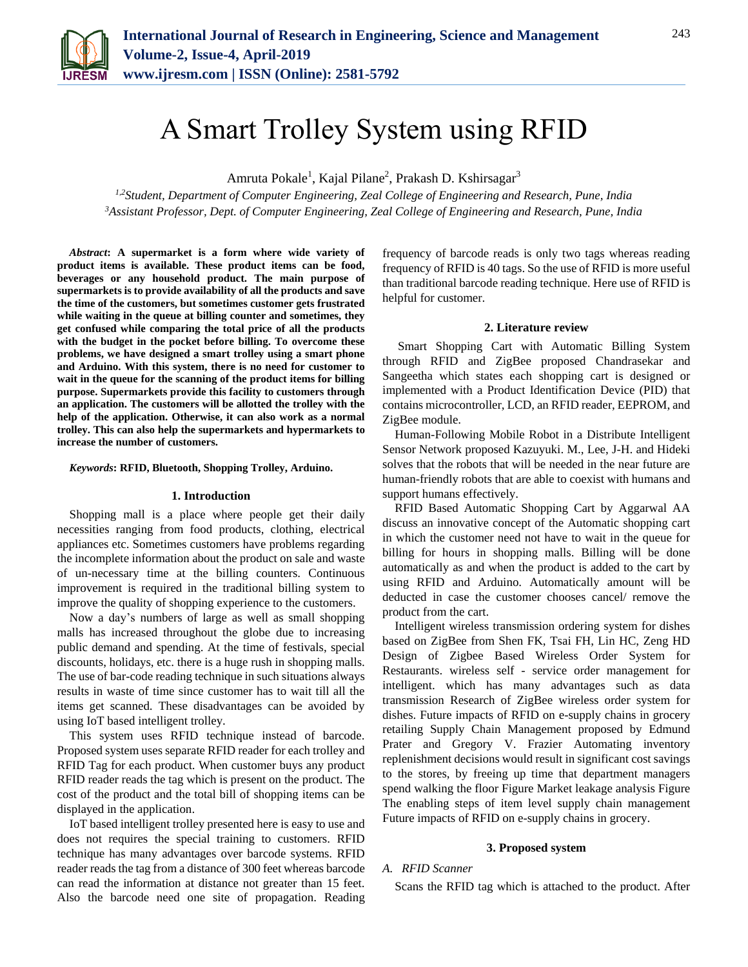

# A Smart Trolley System using RFID

Amruta Pokale<sup>1</sup>, Kajal Pilane<sup>2</sup>, Prakash D. Kshirsagar<sup>3</sup>

*1,2Student, Department of Computer Engineering, Zeal College of Engineering and Research, Pune, India <sup>3</sup>Assistant Professor, Dept. of Computer Engineering, Zeal College of Engineering and Research, Pune, India*

*Abstract***: A supermarket is a form where wide variety of product items is available. These product items can be food, beverages or any household product. The main purpose of supermarkets is to provide availability of all the products and save the time of the customers, but sometimes customer gets frustrated while waiting in the queue at billing counter and sometimes, they get confused while comparing the total price of all the products with the budget in the pocket before billing. To overcome these problems, we have designed a smart trolley using a smart phone and Arduino. With this system, there is no need for customer to wait in the queue for the scanning of the product items for billing purpose. Supermarkets provide this facility to customers through an application. The customers will be allotted the trolley with the help of the application. Otherwise, it can also work as a normal trolley. This can also help the supermarkets and hypermarkets to increase the number of customers.**

*Keywords***: RFID, Bluetooth, Shopping Trolley, Arduino.**

#### **1. Introduction**

Shopping mall is a place where people get their daily necessities ranging from food products, clothing, electrical appliances etc. Sometimes customers have problems regarding the incomplete information about the product on sale and waste of un-necessary time at the billing counters. Continuous improvement is required in the traditional billing system to improve the quality of shopping experience to the customers.

Now a day's numbers of large as well as small shopping malls has increased throughout the globe due to increasing public demand and spending. At the time of festivals, special discounts, holidays, etc. there is a huge rush in shopping malls. The use of bar-code reading technique in such situations always results in waste of time since customer has to wait till all the items get scanned. These disadvantages can be avoided by using IoT based intelligent trolley.

This system uses RFID technique instead of barcode. Proposed system uses separate RFID reader for each trolley and RFID Tag for each product. When customer buys any product RFID reader reads the tag which is present on the product. The cost of the product and the total bill of shopping items can be displayed in the application.

IoT based intelligent trolley presented here is easy to use and does not requires the special training to customers. RFID technique has many advantages over barcode systems. RFID reader reads the tag from a distance of 300 feet whereas barcode can read the information at distance not greater than 15 feet. Also the barcode need one site of propagation. Reading frequency of barcode reads is only two tags whereas reading frequency of RFID is 40 tags. So the use of RFID is more useful than traditional barcode reading technique. Here use of RFID is helpful for customer.

#### **2. Literature review**

Smart Shopping Cart with Automatic Billing System through RFID and ZigBee proposed Chandrasekar and Sangeetha which states each shopping cart is designed or implemented with a Product Identification Device (PID) that contains microcontroller, LCD, an RFID reader, EEPROM, and ZigBee module.

Human-Following Mobile Robot in a Distribute Intelligent Sensor Network proposed Kazuyuki. M., Lee, J-H. and Hideki solves that the robots that will be needed in the near future are human-friendly robots that are able to coexist with humans and support humans effectively.

RFID Based Automatic Shopping Cart by Aggarwal AA discuss an innovative concept of the Automatic shopping cart in which the customer need not have to wait in the queue for billing for hours in shopping malls. Billing will be done automatically as and when the product is added to the cart by using RFID and Arduino. Automatically amount will be deducted in case the customer chooses cancel/ remove the product from the cart.

Intelligent wireless transmission ordering system for dishes based on ZigBee from Shen FK, Tsai FH, Lin HC, Zeng HD Design of Zigbee Based Wireless Order System for Restaurants. wireless self - service order management for intelligent. which has many advantages such as data transmission Research of ZigBee wireless order system for dishes. Future impacts of RFID on e-supply chains in grocery retailing Supply Chain Management proposed by Edmund Prater and Gregory V. Frazier Automating inventory replenishment decisions would result in significant cost savings to the stores, by freeing up time that department managers spend walking the floor Figure Market leakage analysis Figure The enabling steps of item level supply chain management Future impacts of RFID on e-supply chains in grocery.

#### **3. Proposed system**

## *A. RFID Scanner*

Scans the RFID tag which is attached to the product. After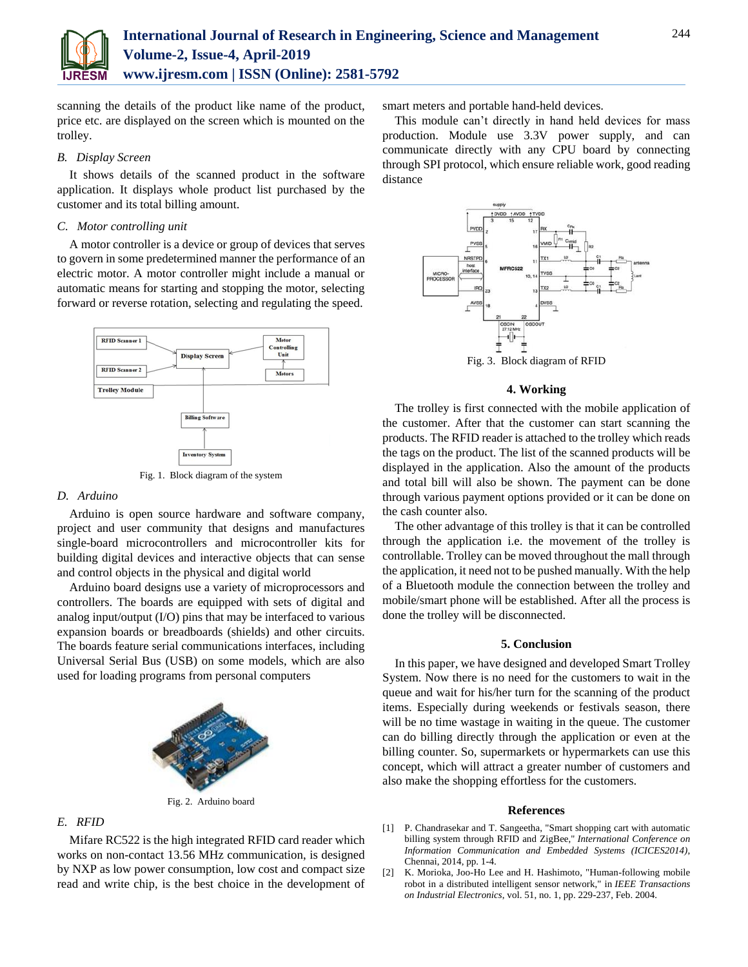

scanning the details of the product like name of the product, price etc. are displayed on the screen which is mounted on the trolley.

#### *B. Display Screen*

It shows details of the scanned product in the software application. It displays whole product list purchased by the customer and its total billing amount.

#### *C. Motor controlling unit*

A motor controller is a device or group of devices that serves to govern in some predetermined manner the performance of an electric motor. A motor controller might include a manual or automatic means for starting and stopping the motor, selecting forward or reverse rotation, selecting and regulating the speed.



#### *D. Arduino*

Arduino is open source hardware and software company, project and user community that designs and manufactures single-board microcontrollers and microcontroller kits for building digital devices and interactive objects that can sense and control objects in the physical and digital world

Arduino board designs use a variety of microprocessors and controllers. The boards are equipped with sets of digital and analog input/output (I/O) pins that may be interfaced to various expansion boards or breadboards (shields) and other circuits. The boards feature serial communications interfaces, including Universal Serial Bus (USB) on some models, which are also used for loading programs from personal computers



Fig. 2. Arduino board

## *E. RFID*

Mifare RC522 is the high integrated RFID card reader which works on non-contact 13.56 MHz communication, is designed by NXP as low power consumption, low cost and compact size read and write chip, is the best choice in the development of smart meters and portable hand-held devices.

This module can't directly in hand held devices for mass production. Module use 3.3V power supply, and can communicate directly with any CPU board by connecting through SPI protocol, which ensure reliable work, good reading distance



# **4. Working**

The trolley is first connected with the mobile application of the customer. After that the customer can start scanning the products. The RFID reader is attached to the trolley which reads the tags on the product. The list of the scanned products will be displayed in the application. Also the amount of the products and total bill will also be shown. The payment can be done through various payment options provided or it can be done on the cash counter also.

The other advantage of this trolley is that it can be controlled through the application i.e. the movement of the trolley is controllable. Trolley can be moved throughout the mall through the application, it need not to be pushed manually. With the help of a Bluetooth module the connection between the trolley and mobile/smart phone will be established. After all the process is done the trolley will be disconnected.

#### **5. Conclusion**

In this paper, we have designed and developed Smart Trolley System. Now there is no need for the customers to wait in the queue and wait for his/her turn for the scanning of the product items. Especially during weekends or festivals season, there will be no time wastage in waiting in the queue. The customer can do billing directly through the application or even at the billing counter. So, supermarkets or hypermarkets can use this concept, which will attract a greater number of customers and also make the shopping effortless for the customers.

#### **References**

- [1] P. Chandrasekar and T. Sangeetha, "Smart shopping cart with automatic billing system through RFID and ZigBee," *International Conference on Information Communication and Embedded Systems (ICICES2014)*, Chennai, 2014, pp. 1-4.
- [2] K. Morioka, Joo-Ho Lee and H. Hashimoto, "Human-following mobile robot in a distributed intelligent sensor network," in *IEEE Transactions on Industrial Electronics*, vol. 51, no. 1, pp. 229-237, Feb. 2004.